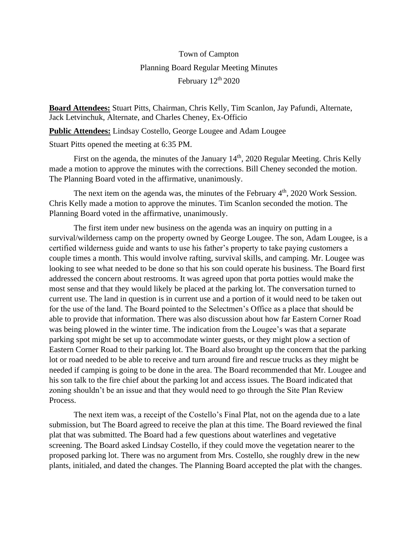## Town of Campton Planning Board Regular Meeting Minutes February 12<sup>th</sup> 2020

**Board Attendees:** Stuart Pitts, Chairman, Chris Kelly, Tim Scanlon, Jay Pafundi, Alternate, Jack Letvinchuk, Alternate, and Charles Cheney, Ex-Officio

**Public Attendees:** Lindsay Costello, George Lougee and Adam Lougee

Stuart Pitts opened the meeting at 6:35 PM.

First on the agenda, the minutes of the January 14<sup>th</sup>, 2020 Regular Meeting. Chris Kelly made a motion to approve the minutes with the corrections. Bill Cheney seconded the motion. The Planning Board voted in the affirmative, unanimously.

The next item on the agenda was, the minutes of the February  $4<sup>th</sup>$ , 2020 Work Session. Chris Kelly made a motion to approve the minutes. Tim Scanlon seconded the motion. The Planning Board voted in the affirmative, unanimously.

The first item under new business on the agenda was an inquiry on putting in a survival/wilderness camp on the property owned by George Lougee. The son, Adam Lougee, is a certified wilderness guide and wants to use his father's property to take paying customers a couple times a month. This would involve rafting, survival skills, and camping. Mr. Lougee was looking to see what needed to be done so that his son could operate his business. The Board first addressed the concern about restrooms. It was agreed upon that porta potties would make the most sense and that they would likely be placed at the parking lot. The conversation turned to current use. The land in question is in current use and a portion of it would need to be taken out for the use of the land. The Board pointed to the Selectmen's Office as a place that should be able to provide that information. There was also discussion about how far Eastern Corner Road was being plowed in the winter time. The indication from the Lougee's was that a separate parking spot might be set up to accommodate winter guests, or they might plow a section of Eastern Corner Road to their parking lot. The Board also brought up the concern that the parking lot or road needed to be able to receive and turn around fire and rescue trucks as they might be needed if camping is going to be done in the area. The Board recommended that Mr. Lougee and his son talk to the fire chief about the parking lot and access issues. The Board indicated that zoning shouldn't be an issue and that they would need to go through the Site Plan Review Process.

The next item was, a receipt of the Costello's Final Plat, not on the agenda due to a late submission, but The Board agreed to receive the plan at this time. The Board reviewed the final plat that was submitted. The Board had a few questions about waterlines and vegetative screening. The Board asked Lindsay Costello, if they could move the vegetation nearer to the proposed parking lot. There was no argument from Mrs. Costello, she roughly drew in the new plants, initialed, and dated the changes. The Planning Board accepted the plat with the changes.